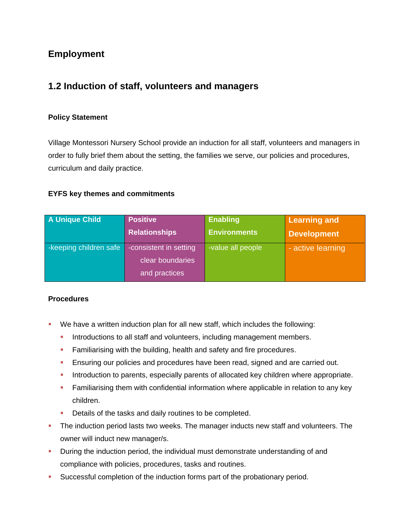# **Employment**

# **1.2 Induction of staff, volunteers and managers**

### **Policy Statement**

Village Montessori Nursery School provide an induction for all staff, volunteers and managers in order to fully brief them about the setting, the families we serve, our policies and procedures, curriculum and daily practice.

#### **EYFS key themes and commitments**

| <b>A Unique Child</b>  | <b>Positive</b>        | <b>Enabling</b>     | <b>Learning and</b> |
|------------------------|------------------------|---------------------|---------------------|
|                        | <b>Relationships</b>   | <b>Environments</b> | <b>Development</b>  |
| -keeping children safe | -consistent in setting | -value all people   | - active learning   |
|                        | clear boundaries       |                     |                     |
|                        | and practices          |                     |                     |

#### **Procedures**

- We have a written induction plan for all new staff, which includes the following:
	- Introductions to all staff and volunteers, including management members.
	- Familiarising with the building, health and safety and fire procedures.
	- **Ensuring our policies and procedures have been read, signed and are carried out.**
	- Introduction to parents, especially parents of allocated key children where appropriate.
	- Familiarising them with confidential information where applicable in relation to any key children.
	- Details of the tasks and daily routines to be completed.
- The induction period lasts two weeks. The manager inducts new staff and volunteers. The owner will induct new manager/s.
- During the induction period, the individual must demonstrate understanding of and compliance with policies, procedures, tasks and routines.
- Successful completion of the induction forms part of the probationary period.